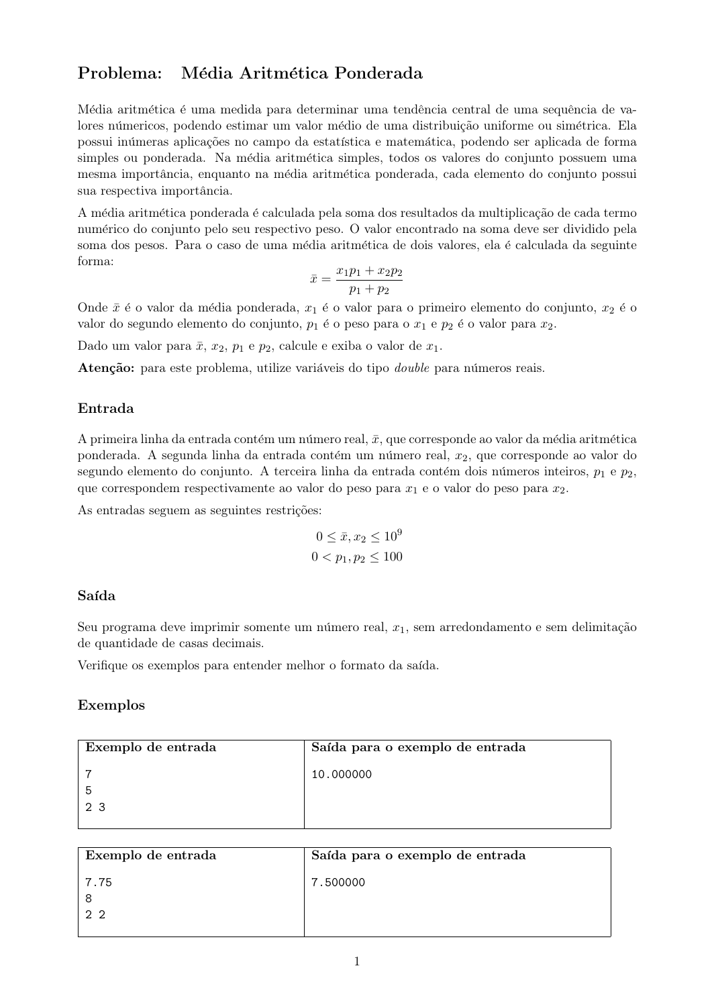# Problema: Média Aritmética Ponderada

Média aritmética é uma medida para determinar uma tendência central de uma sequência de valores númericos, podendo estimar um valor médio de uma distribuição uniforme ou simétrica. Ela possui inúmeras aplicações no campo da estatística e matemática, podendo ser aplicada de forma simples ou ponderada. Na média aritmética simples, todos os valores do conjunto possuem uma mesma importância, enquanto na média aritmética ponderada, cada elemento do conjunto possui sua respectiva importância.

A média aritmética ponderada é calculada pela soma dos resultados da multiplicação de cada termo numérico do conjunto pelo seu respectivo peso. O valor encontrado na soma deve ser dividido pela soma dos pesos. Para o caso de uma média aritmética de dois valores, ela é calculada da seguinte forma:

$$
\bar{x} = \frac{x_1 p_1 + x_2 p_2}{p_1 + p_2}
$$

Onde  $\bar{x}$  é o valor da média ponderada,  $x_1$  é o valor para o primeiro elemento do conjunto,  $x_2$  é o valor do segundo elemento do conjunto,  $p_1$  é o peso para o  $x_1$  e  $p_2$  é o valor para  $x_2$ .

Dado um valor para  $\bar{x}$ ,  $x_2$ ,  $p_1$  e  $p_2$ , calcule e exiba o valor de  $x_1$ .

Atenção: para este problema, utilize variáveis do tipo *double* para números reais.

## Entrada

A primeira linha da entrada contém um número real,  $\bar{x}$ , que corresponde ao valor da média aritmética ponderada. A segunda linha da entrada contém um número real,  $x_2$ , que corresponde ao valor do segundo elemento do conjunto. A terceira linha da entrada contém dois números inteiros,  $p_1$  e  $p_2$ , que correspondem respectivamente ao valor do peso para  $x_1$  e o valor do peso para  $x_2$ .

As entradas seguem as seguintes restrições:

$$
0 \le \bar{x}, x_2 \le 10^9
$$
  

$$
0 < p_1, p_2 \le 100
$$

### Saída

Seu programa deve imprimir somente um número real,  $x_1$ , sem arredondamento e sem delimitação de quantidade de casas decimais.

Verifique os exemplos para entender melhor o formato da saída.

### Exemplos

| Exemplo de entrada | Saída para o exemplo de entrada |
|--------------------|---------------------------------|
| 2 3                | 10.000000                       |

| Exemplo de entrada | Saída para o exemplo de entrada |
|--------------------|---------------------------------|
| 7.75<br>22         | 7.500000                        |